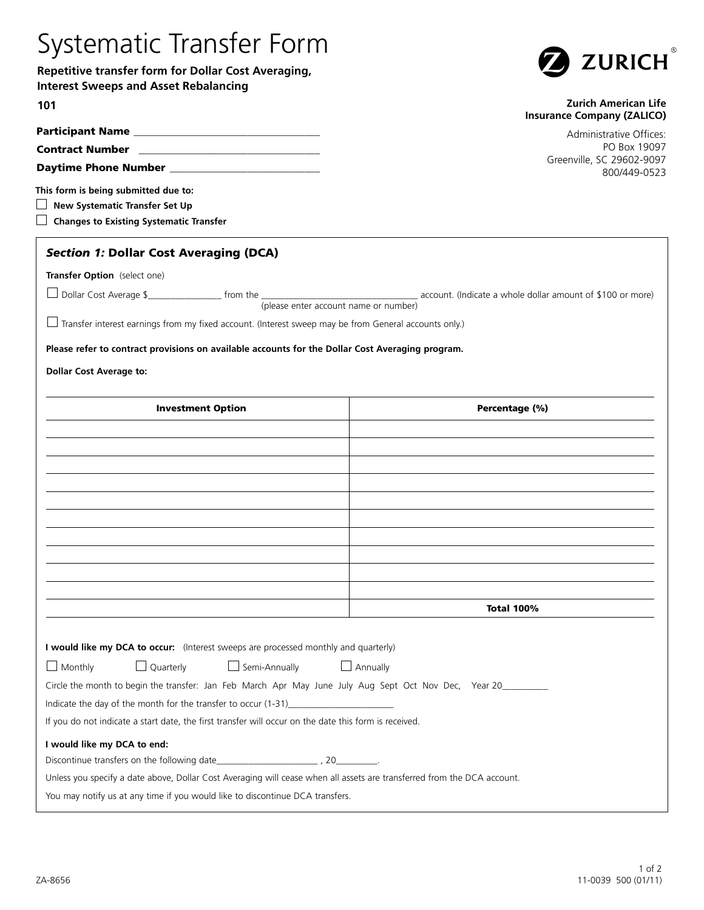## Systematic Transfer Form

**Repetitive transfer form for Dollar Cost Averaging, Interest Sweeps and Asset Rebalancing**



## **Zurich American Life Insurance Company (ZALICO)**

Administrative Offices: PO Box 19097 Greenville, SC 29602-9097 800/449-0523

| <b>Contract Number</b>      |  |
|-----------------------------|--|
| <b>Daytime Phone Number</b> |  |

**This form is being submitted due to:**

Participant Name

**101**

| $\Box$ New Systematic Transfer Set Up |
|---------------------------------------|
|---------------------------------------|

**Changes to Existing Systematic Transfer** 

## *Section 1:* Dollar Cost Averaging (DCA)

**Transfer Option** (select one)

| $\Box$ Dollar Cost Average \$         | from the |  | account. (Indicate a whole dollar amount of \$100 or more) |
|---------------------------------------|----------|--|------------------------------------------------------------|
| (please enter account name or number) |          |  |                                                            |

 $\Box$  Transfer interest earnings from my fixed account. (Interest sweep may be from General accounts only.)

**Please refer to contract provisions on available accounts for the Dollar Cost Averaging program.**

**Dollar Cost Average to:**

| <b>Investment Option</b>                                                                                                | Percentage (%)    |
|-------------------------------------------------------------------------------------------------------------------------|-------------------|
|                                                                                                                         |                   |
|                                                                                                                         |                   |
|                                                                                                                         |                   |
|                                                                                                                         |                   |
|                                                                                                                         |                   |
|                                                                                                                         |                   |
|                                                                                                                         |                   |
|                                                                                                                         |                   |
|                                                                                                                         |                   |
|                                                                                                                         |                   |
|                                                                                                                         | <b>Total 100%</b> |
|                                                                                                                         |                   |
| I would like my DCA to occur: (Interest sweeps are processed monthly and quarterly)                                     |                   |
| $\Box$ Semi-Annually $\Box$ Annually<br>$\Box$ Quarterly<br>$\Box$ Monthly                                              |                   |
| Circle the month to begin the transfer: Jan Feb March Apr May June July Aug Sept Oct Nov Dec, Year 20________           |                   |
| Indicate the day of the month for the transfer to occur $(1-31)$                                                        |                   |
| If you do not indicate a start date, the first transfer will occur on the date this form is received.                   |                   |
| I would like my DCA to end:                                                                                             |                   |
|                                                                                                                         |                   |
| Unless you specify a date above, Dollar Cost Averaging will cease when all assets are transferred from the DCA account. |                   |
| You may notify us at any time if you would like to discontinue DCA transfers.                                           |                   |